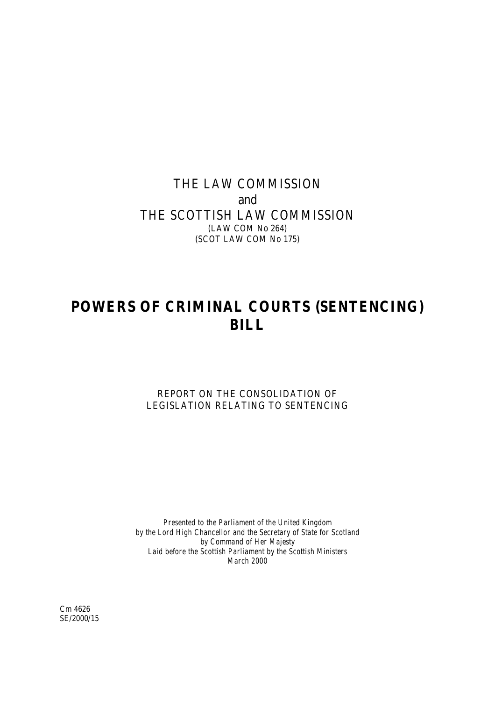# THE LAW COMMISSION and THE SCOTTISH LAW COMMISSION (LAW COM No 264) (SCOT LAW COM No 175)

# **POWERS OF CRIMINAL COURTS (SENTENCING) BILL**

REPORT ON THE CONSOLIDATION OF LEGISLATION RELATING TO SENTENCING

*Presented to the Parliament of the United Kingdom by the Lord High Chancellor and the Secretary of State for Scotland by Command of Her Majesty Laid before the Scottish Parliament by the Scottish Ministers March 2000*

Cm 4626 SE/2000/15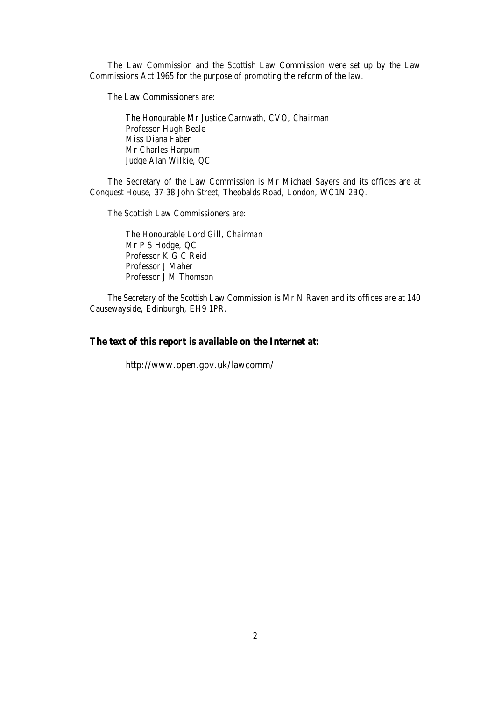The Law Commission and the Scottish Law Commission were set up by the Law Commissions Act 1965 for the purpose of promoting the reform of the law.

The Law Commissioners are:

The Honourable Mr Justice Carnwath, CVO, *Chairman* Professor Hugh Beale Miss Diana Faber Mr Charles Harpum Judge Alan Wilkie, QC

The Secretary of the Law Commission is Mr Michael Sayers and its offices are at Conquest House, 37-38 John Street, Theobalds Road, London, WC1N 2BQ.

The Scottish Law Commissioners are:

The Honourable Lord Gill, *Chairman* Mr P S Hodge, QC Professor K G C Reid Professor J Maher Professor J M Thomson

The Secretary of the Scottish Law Commission is Mr N Raven and its offices are at 140 Causewayside, Edinburgh, EH9 1PR.

# **The text of this report is available on the Internet at:**

http://www.open.gov.uk/lawcomm/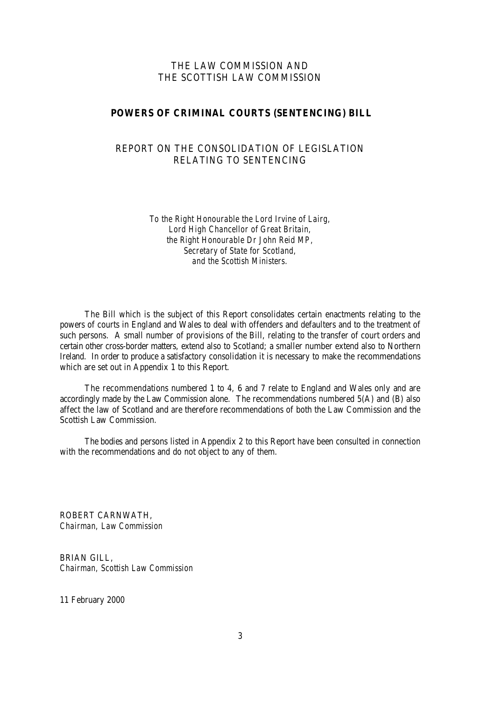# THE LAW COMMISSION AND THE SCOTTISH LAW COMMISSION

#### **POWERS OF CRIMINAL COURTS (SENTENCING) BILL**

# REPORT ON THE CONSOLIDATION OF LEGISLATION RELATING TO SENTENCING

*To the Right Honourable the Lord Irvine of Lairg, Lord High Chancellor of Great Britain, the Right Honourable Dr John Reid MP, Secretary of State for Scotland, and the Scottish Ministers.*

The Bill which is the subject of this Report consolidates certain enactments relating to the powers of courts in England and Wales to deal with offenders and defaulters and to the treatment of such persons. A small number of provisions of the Bill, relating to the transfer of court orders and certain other cross-border matters, extend also to Scotland; a smaller number extend also to Northern Ireland. In order to produce a satisfactory consolidation it is necessary to make the recommendations which are set out in Appendix 1 to this Report.

The recommendations numbered 1 to 4, 6 and 7 relate to England and Wales only and are accordingly made by the Law Commission alone. The recommendations numbered 5(A) and (B) also affect the law of Scotland and are therefore recommendations of both the Law Commission and the Scottish Law Commission.

The bodies and persons listed in Appendix 2 to this Report have been consulted in connection with the recommendations and do not object to any of them.

ROBERT CARNWATH, *Chairman, Law Commission* 

BRIAN GILL, *Chairman, Scottish Law Commission* 

11 February 2000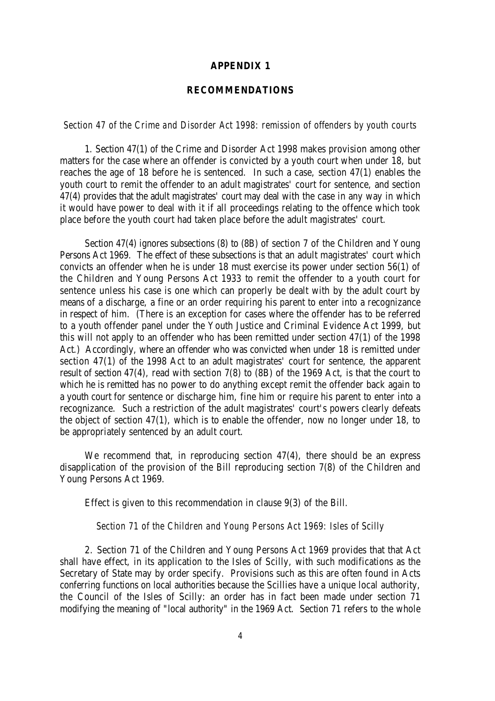#### **APPENDIX 1**

#### **RECOMMENDATIONS**

#### *Section 47 of the Crime and Disorder Act 1998: remission of offenders by youth courts*

1. Section 47(1) of the Crime and Disorder Act 1998 makes provision among other matters for the case where an offender is convicted by a youth court when under 18, but reaches the age of 18 before he is sentenced. In such a case, section 47(1) enables the youth court to remit the offender to an adult magistrates' court for sentence, and section 47(4) provides that the adult magistrates' court may deal with the case in any way in which it would have power to deal with it if all proceedings relating to the offence which took place before the youth court had taken place before the adult magistrates' court.

Section 47(4) ignores subsections (8) to (8B) of section 7 of the Children and Young Persons Act 1969. The effect of these subsections is that an adult magistrates' court which convicts an offender when he is under 18 must exercise its power under section 56(1) of the Children and Young Persons Act 1933 to remit the offender to a youth court for sentence unless his case is one which can properly be dealt with by the adult court by means of a discharge, a fine or an order requiring his parent to enter into a recognizance in respect of him. (There is an exception for cases where the offender has to be referred to a youth offender panel under the Youth Justice and Criminal Evidence Act 1999, but this will not apply to an offender who has been remitted under section 47(1) of the 1998 Act.) Accordingly, where an offender who was convicted when under 18 is remitted under section 47(1) of the 1998 Act to an adult magistrates' court for sentence, the apparent result of section 47(4), read with section 7(8) to (8B) of the 1969 Act, is that the court to which he is remitted has no power to do anything except remit the offender back again to a youth court for sentence or discharge him, fine him or require his parent to enter into a recognizance. Such a restriction of the adult magistrates' court's powers clearly defeats the object of section 47(1), which is to enable the offender, now no longer under 18, to be appropriately sentenced by an adult court.

We recommend that, in reproducing section 47(4), there should be an express disapplication of the provision of the Bill reproducing section 7(8) of the Children and Young Persons Act 1969.

Effect is given to this recommendation in clause 9(3) of the Bill.

#### *Section 71 of the Children and Young Persons Act 1969: Isles of Scilly*

2. Section 71 of the Children and Young Persons Act 1969 provides that that Act shall have effect, in its application to the Isles of Scilly, with such modifications as the Secretary of State may by order specify. Provisions such as this are often found in Acts conferring functions on local authorities because the Scillies have a unique local authority, the Council of the Isles of Scilly: an order has in fact been made under section 71 modifying the meaning of "local authority" in the 1969 Act. Section 71 refers to the whole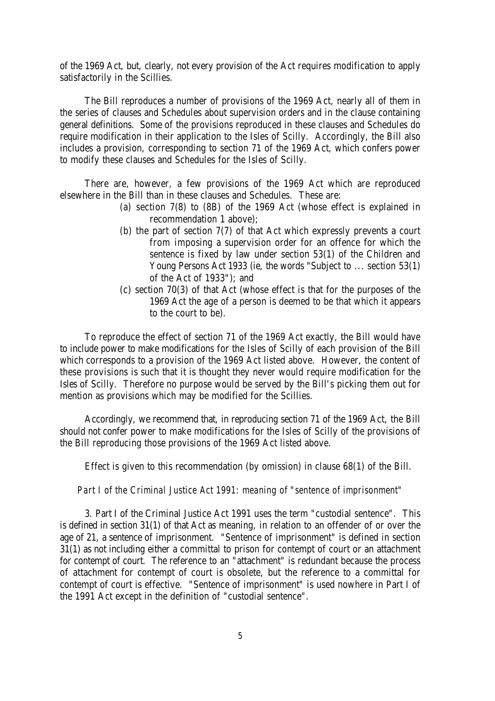of the 1969 Act, but, clearly, not every provision of the Act requires modification to apply satisfactorily in the Scillies.

The Bill reproduces a number of provisions of the 1969 Act, nearly all of them in the series of clauses and Schedules about supervision orders and in the clause containing general definitions. Some of the provisions reproduced in these clauses and Schedules do require modification in their application to the Isles of Scilly. Accordingly, the Bill also includes a provision, corresponding to section 71 of the 1969 Act, which confers power to modify these clauses and Schedules for the Isles of Scilly.

There are, however, a few provisions of the 1969 Act which are reproduced elsewhere in the Bill than in these clauses and Schedules. These are:

- (a) section 7(8) to (8B) of the 1969 Act (whose effect is explained in recommendation 1 above);
- (b) the part of section 7(7) of that Act which expressly prevents a court from imposing a supervision order for an offence for which the sentence is fixed by law under section 53(1) of the Children and Young Persons Act 1933 (ie, the words "Subject to ... section 53(1) of the Act of 1933"); and
- (c) section 70(3) of that Act (whose effect is that for the purposes of the 1969 Act the age of a person is deemed to be that which it appears to the court to be).

To reproduce the effect of section 71 of the 1969 Act exactly, the Bill would have to include power to make modifications for the Isles of Scilly of each provision of the Bill which corresponds to a provision of the 1969 Act listed above. However, the content of these provisions is such that it is thought they never would require modification for the Isles of Scilly. Therefore no purpose would be served by the Bill's picking them out for mention as provisions which may be modified for the Scillies.

Accordingly, we recommend that, in reproducing section 71 of the 1969 Act, the Bill should not confer power to make modifications for the Isles of Scilly of the provisions of the Bill reproducing those provisions of the 1969 Act listed above.

Effect is given to this recommendation (by omission) in clause 68(1) of the Bill.

#### *Part I of the Criminal Justice Act 1991: meaning of "sentence of imprisonment"*

3. Part I of the Criminal Justice Act 1991 uses the term "custodial sentence". This is defined in section 31(1) of that Act as meaning, in relation to an offender of or over the age of 21, a sentence of imprisonment. "Sentence of imprisonment" is defined in section 31(1) as not including either a committal to prison for contempt of court or an attachment for contempt of court. The reference to an "attachment" is redundant because the process of attachment for contempt of court is obsolete, but the reference to a committal for contempt of court is effective. "Sentence of imprisonment" is used nowhere in Part I of the 1991 Act except in the definition of "custodial sentence".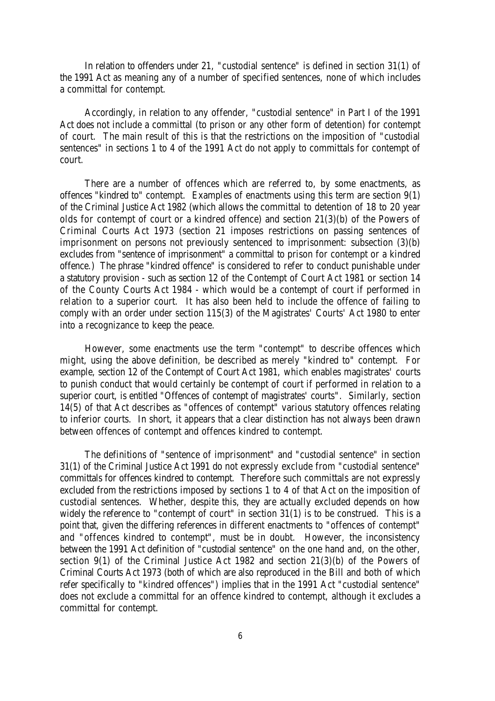In relation to offenders under 21, "custodial sentence" is defined in section 31(1) of the 1991 Act as meaning any of a number of specified sentences, none of which includes a committal for contempt.

Accordingly, in relation to any offender, "custodial sentence" in Part I of the 1991 Act does not include a committal (to prison or any other form of detention) for contempt of court. The main result of this is that the restrictions on the imposition of "custodial sentences" in sections 1 to 4 of the 1991 Act do not apply to committals for contempt of court.

There are a number of offences which are referred to, by some enactments, as offences "kindred to" contempt. Examples of enactments using this term are section 9(1) of the Criminal Justice Act 1982 (which allows the committal to detention of 18 to 20 year olds for contempt of court or a kindred offence) and section 21(3)(b) of the Powers of Criminal Courts Act 1973 (section 21 imposes restrictions on passing sentences of imprisonment on persons not previously sentenced to imprisonment: subsection (3)(b) excludes from "sentence of imprisonment" a committal to prison for contempt or a kindred offence.) The phrase "kindred offence" is considered to refer to conduct punishable under a statutory provision - such as section 12 of the Contempt of Court Act 1981 or section 14 of the County Courts Act 1984 - which would be a contempt of court if performed in relation to a superior court. It has also been held to include the offence of failing to comply with an order under section 115(3) of the Magistrates' Courts' Act 1980 to enter into a recognizance to keep the peace.

However, some enactments use the term "contempt" to describe offences which might, using the above definition, be described as merely "kindred to" contempt. For example, section 12 of the Contempt of Court Act 1981, which enables magistrates' courts to punish conduct that would certainly be contempt of court if performed in relation to a superior court, is entitled "Offences of contempt of magistrates' courts". Similarly, section 14(5) of that Act describes as "offences of contempt" various statutory offences relating to inferior courts. In short, it appears that a clear distinction has not always been drawn between offences of contempt and offences kindred to contempt.

The definitions of "sentence of imprisonment" and "custodial sentence" in section 31(1) of the Criminal Justice Act 1991 do not expressly exclude from "custodial sentence" committals for offences kindred to contempt. Therefore such committals are not expressly excluded from the restrictions imposed by sections 1 to 4 of that Act on the imposition of custodial sentences. Whether, despite this, they are actually excluded depends on how widely the reference to "contempt of court" in section 31(1) is to be construed. This is a point that, given the differing references in different enactments to "offences of contempt" and "offences kindred to contempt", must be in doubt. However, the inconsistency between the 1991 Act definition of "custodial sentence" on the one hand and, on the other, section 9(1) of the Criminal Justice Act 1982 and section 21(3)(b) of the Powers of Criminal Courts Act 1973 (both of which are also reproduced in the Bill and both of which refer specifically to "kindred offences") implies that in the 1991 Act "custodial sentence" does not exclude a committal for an offence kindred to contempt, although it excludes a committal for contempt.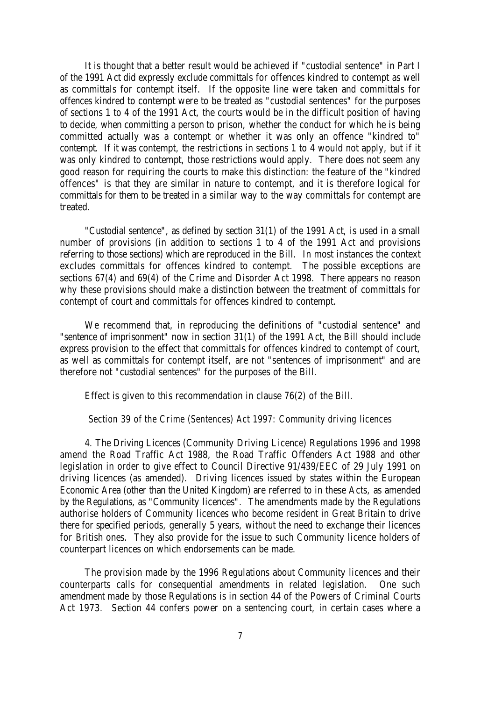It is thought that a better result would be achieved if "custodial sentence" in Part I of the 1991 Act did expressly exclude committals for offences kindred to contempt as well as committals for contempt itself. If the opposite line were taken and committals for offences kindred to contempt were to be treated as "custodial sentences" for the purposes of sections 1 to 4 of the 1991 Act, the courts would be in the difficult position of having to decide, when committing a person to prison, whether the conduct for which he is being committed actually was a contempt or whether it was only an offence "kindred to" contempt. If it was contempt, the restrictions in sections 1 to 4 would not apply, but if it was only kindred to contempt, those restrictions would apply. There does not seem any good reason for requiring the courts to make this distinction: the feature of the "kindred offences" is that they are similar in nature to contempt, and it is therefore logical for committals for them to be treated in a similar way to the way committals for contempt are treated.

"Custodial sentence", as defined by section 31(1) of the 1991 Act, is used in a small number of provisions (in addition to sections 1 to 4 of the 1991 Act and provisions referring to those sections) which are reproduced in the Bill. In most instances the context excludes committals for offences kindred to contempt. The possible exceptions are sections 67(4) and 69(4) of the Crime and Disorder Act 1998. There appears no reason why these provisions should make a distinction between the treatment of committals for contempt of court and committals for offences kindred to contempt.

We recommend that, in reproducing the definitions of "custodial sentence" and "sentence of imprisonment" now in section 31(1) of the 1991 Act, the Bill should include express provision to the effect that committals for offences kindred to contempt of court, as well as committals for contempt itself, are not "sentences of imprisonment" and are therefore not "custodial sentences" for the purposes of the Bill.

Effect is given to this recommendation in clause 76(2) of the Bill.

#### *Section 39 of the Crime (Sentences) Act 1997: Community driving licences*

4. The Driving Licences (Community Driving Licence) Regulations 1996 and 1998 amend the Road Traffic Act 1988, the Road Traffic Offenders Act 1988 and other legislation in order to give effect to Council Directive 91/439/EEC of 29 July 1991 on driving licences (as amended). Driving licences issued by states within the European Economic Area (other than the United Kingdom) are referred to in these Acts, as amended by the Regulations, as "Community licences". The amendments made by the Regulations authorise holders of Community licences who become resident in Great Britain to drive there for specified periods, generally 5 years, without the need to exchange their licences for British ones. They also provide for the issue to such Community licence holders of counterpart licences on which endorsements can be made.

The provision made by the 1996 Regulations about Community licences and their counterparts calls for consequential amendments in related legislation. One such amendment made by those Regulations is in section 44 of the Powers of Criminal Courts Act 1973. Section 44 confers power on a sentencing court, in certain cases where a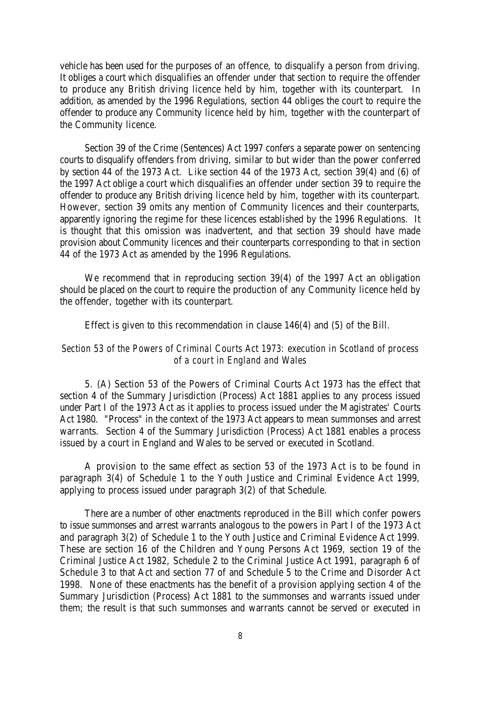vehicle has been used for the purposes of an offence, to disqualify a person from driving. It obliges a court which disqualifies an offender under that section to require the offender to produce any British driving licence held by him, together with its counterpart. In addition, as amended by the 1996 Regulations, section 44 obliges the court to require the offender to produce any Community licence held by him, together with the counterpart of the Community licence.

Section 39 of the Crime (Sentences) Act 1997 confers a separate power on sentencing courts to disqualify offenders from driving, similar to but wider than the power conferred by section 44 of the 1973 Act. Like section 44 of the 1973 Act, section 39(4) and (6) of the 1997 Act oblige a court which disqualifies an offender under section 39 to require the offender to produce any British driving licence held by him, together with its counterpart. However, section 39 omits any mention of Community licences and their counterparts, apparently ignoring the regime for these licences established by the 1996 Regulations. It is thought that this omission was inadvertent, and that section 39 should have made provision about Community licences and their counterparts corresponding to that in section 44 of the 1973 Act as amended by the 1996 Regulations.

We recommend that in reproducing section 39(4) of the 1997 Act an obligation should be placed on the court to require the production of any Community licence held by the offender, together with its counterpart.

Effect is given to this recommendation in clause 146(4) and (5) of the Bill.

# *Section 53 of the Powers of Criminal Courts Act 1973: execution in Scotland of process of a court in England and Wales*

5. (A) Section 53 of the Powers of Criminal Courts Act 1973 has the effect that section 4 of the Summary Jurisdiction (Process) Act 1881 applies to any process issued under Part I of the 1973 Act as it applies to process issued under the Magistrates' Courts Act 1980. "Process" in the context of the 1973 Act appears to mean summonses and arrest warrants. Section 4 of the Summary Jurisdiction (Process) Act 1881 enables a process issued by a court in England and Wales to be served or executed in Scotland.

A provision to the same effect as section 53 of the 1973 Act is to be found in paragraph 3(4) of Schedule 1 to the Youth Justice and Criminal Evidence Act 1999, applying to process issued under paragraph 3(2) of that Schedule.

There are a number of other enactments reproduced in the Bill which confer powers to issue summonses and arrest warrants analogous to the powers in Part I of the 1973 Act and paragraph 3(2) of Schedule 1 to the Youth Justice and Criminal Evidence Act 1999. These are section 16 of the Children and Young Persons Act 1969, section 19 of the Criminal Justice Act 1982, Schedule 2 to the Criminal Justice Act 1991, paragraph 6 of Schedule 3 to that Act and section 77 of and Schedule 5 to the Crime and Disorder Act 1998. None of these enactments has the benefit of a provision applying section 4 of the Summary Jurisdiction (Process) Act 1881 to the summonses and warrants issued under them; the result is that such summonses and warrants cannot be served or executed in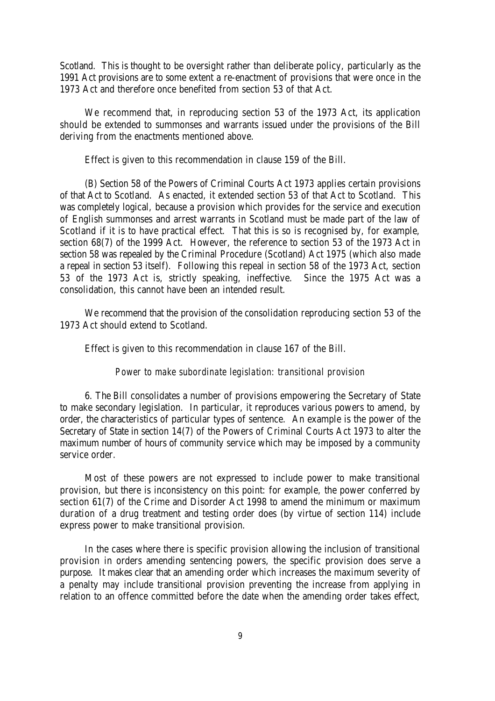Scotland. This is thought to be oversight rather than deliberate policy, particularly as the 1991 Act provisions are to some extent a re-enactment of provisions that were once in the 1973 Act and therefore once benefited from section 53 of that Act.

We recommend that, in reproducing section 53 of the 1973 Act, its application should be extended to summonses and warrants issued under the provisions of the Bill deriving from the enactments mentioned above.

Effect is given to this recommendation in clause 159 of the Bill.

(B) Section 58 of the Powers of Criminal Courts Act 1973 applies certain provisions of that Act to Scotland. As enacted, it extended section 53 of that Act to Scotland. This was completely logical, because a provision which provides for the service and execution of English summonses and arrest warrants in Scotland must be made part of the law of Scotland if it is to have practical effect. That this is so is recognised by, for example, section 68(7) of the 1999 Act. However, the reference to section 53 of the 1973 Act in section 58 was repealed by the Criminal Procedure (Scotland) Act 1975 (which also made a repeal in section 53 itself). Following this repeal in section 58 of the 1973 Act, section 53 of the 1973 Act is, strictly speaking, ineffective. Since the 1975 Act was a consolidation, this cannot have been an intended result.

We recommend that the provision of the consolidation reproducing section 53 of the 1973 Act should extend to Scotland.

Effect is given to this recommendation in clause 167 of the Bill.

#### *Power to make subordinate legislation: transitional provision*

6. The Bill consolidates a number of provisions empowering the Secretary of State to make secondary legislation. In particular, it reproduces various powers to amend, by order, the characteristics of particular types of sentence. An example is the power of the Secretary of State in section 14(7) of the Powers of Criminal Courts Act 1973 to alter the maximum number of hours of community service which may be imposed by a community service order.

Most of these powers are not expressed to include power to make transitional provision, but there is inconsistency on this point: for example, the power conferred by section 61(7) of the Crime and Disorder Act 1998 to amend the minimum or maximum duration of a drug treatment and testing order does (by virtue of section 114) include express power to make transitional provision.

In the cases where there is specific provision allowing the inclusion of transitional provision in orders amending sentencing powers, the specific provision does serve a purpose. It makes clear that an amending order which increases the maximum severity of a penalty may include transitional provision preventing the increase from applying in relation to an offence committed before the date when the amending order takes effect,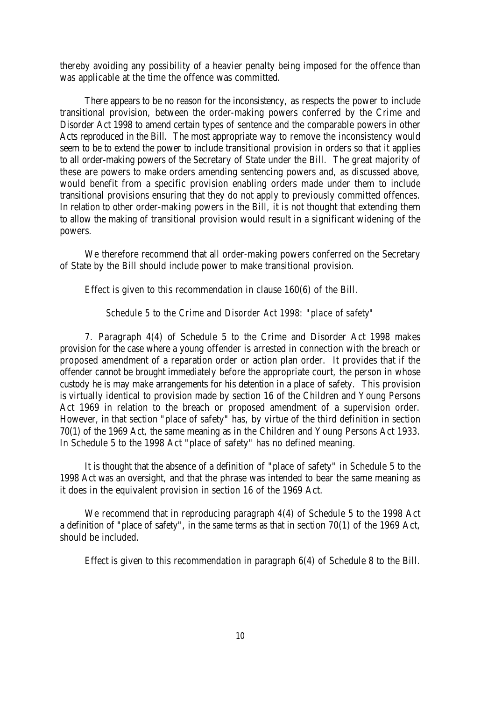thereby avoiding any possibility of a heavier penalty being imposed for the offence than was applicable at the time the offence was committed.

There appears to be no reason for the inconsistency, as respects the power to include transitional provision, between the order-making powers conferred by the Crime and Disorder Act 1998 to amend certain types of sentence and the comparable powers in other Acts reproduced in the Bill. The most appropriate way to remove the inconsistency would seem to be to extend the power to include transitional provision in orders so that it applies to all order-making powers of the Secretary of State under the Bill. The great majority of these are powers to make orders amending sentencing powers and, as discussed above, would benefit from a specific provision enabling orders made under them to include transitional provisions ensuring that they do not apply to previously committed offences. In relation to other order-making powers in the Bill, it is not thought that extending them to allow the making of transitional provision would result in a significant widening of the powers.

We therefore recommend that all order-making powers conferred on the Secretary of State by the Bill should include power to make transitional provision.

Effect is given to this recommendation in clause 160(6) of the Bill.

#### *Schedule 5 to the Crime and Disorder Act 1998: "place of safety"*

7. Paragraph 4(4) of Schedule 5 to the Crime and Disorder Act 1998 makes provision for the case where a young offender is arrested in connection with the breach or proposed amendment of a reparation order or action plan order. It provides that if the offender cannot be brought immediately before the appropriate court, the person in whose custody he is may make arrangements for his detention in a place of safety. This provision is virtually identical to provision made by section 16 of the Children and Young Persons Act 1969 in relation to the breach or proposed amendment of a supervision order. However, in that section "place of safety" has, by virtue of the third definition in section 70(1) of the 1969 Act, the same meaning as in the Children and Young Persons Act 1933. In Schedule 5 to the 1998 Act "place of safety" has no defined meaning.

It is thought that the absence of a definition of "place of safety" in Schedule 5 to the 1998 Act was an oversight, and that the phrase was intended to bear the same meaning as it does in the equivalent provision in section 16 of the 1969 Act.

We recommend that in reproducing paragraph 4(4) of Schedule 5 to the 1998 Act a definition of "place of safety", in the same terms as that in section 70(1) of the 1969 Act, should be included.

Effect is given to this recommendation in paragraph 6(4) of Schedule 8 to the Bill.